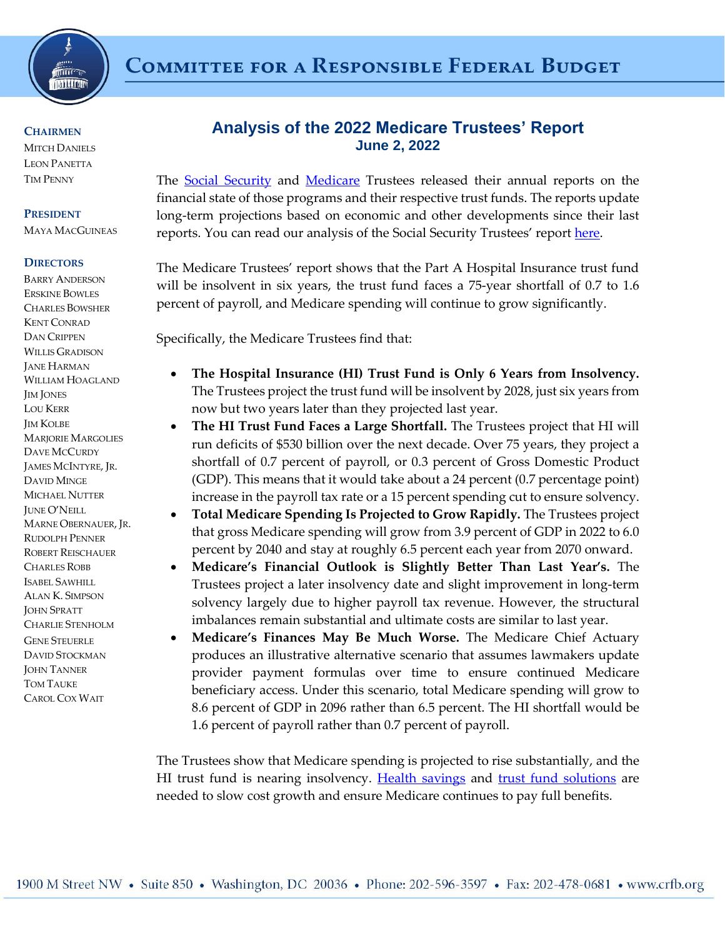

# **COMMITTEE FOR A RESPONSIBLE FEDERAL BUDGET**

#### **CHAIRMEN**

**MITCH DANIELS** LEON PANETTA TIM PENNY

#### **PRESIDENT**

MAYA MACGUINEAS

#### **DIRECTORS**

BARRY ANDERSON ERSKINE BOWLES CHARLES BOWSHER KENT CONRAD DAN CRIPPEN WILLIS GRADISON JANE HARMAN WILLIAM HOAGLAND JIM JONES LOU KERR JIM KOLBE MARJORIE MARGOLIES DAVE MCCURDY JAMES MCINTYRE, JR. DAVID MINGE MICHAEL NUTTER JUNE O'NEILL MARNE OBERNAUER, JR. RUDOLPH PENNER ROBERT REISCHAUER CHARLES ROBB ISABEL SAWHILL ALAN K. SIMPSON JOHN SPRATT CHARLIE STENHOLM GENE STEUERLE DAVID STOCKMAN **JOHN TANNER** TOM TAUKE CAROL COX WAIT

## **Analysis of the 2022 Medicare Trustees' Report June 2, 2022**

The **[Social Security](https://www.ssa.gov/OACT/TR/2022/tr2022.pdf)** and **[Medicare](https://www.cms.gov/files/document/2022-medicare-trustees-report.pdf)** Trustees released their annual reports on the financial state of those programs and their respective trust funds. The reports update long-term projections based on economic and other developments since their last reports. You can read our analysis of the Social Security Trustees' report [here.](https://www.crfb.org/papers/analysis-2022-social-security-trustees-report)

The Medicare Trustees' report shows that the Part A Hospital Insurance trust fund will be insolvent in six years, the trust fund faces a 75-year shortfall of 0.7 to 1.6 percent of payroll, and Medicare spending will continue to grow significantly.

Specifically, the Medicare Trustees find that:

- **The Hospital Insurance (HI) Trust Fund is Only 6 Years from Insolvency.**  The Trustees project the trust fund will be insolvent by 2028, just six years from now but two years later than they projected last year.
- **The HI Trust Fund Faces a Large Shortfall.** The Trustees project that HI will run deficits of \$530 billion over the next decade. Over 75 years, they project a shortfall of 0.7 percent of payroll, or 0.3 percent of Gross Domestic Product (GDP). This means that it would take about a 24 percent (0.7 percentage point) increase in the payroll tax rate or a 15 percent spending cut to ensure solvency.
- **Total Medicare Spending Is Projected to Grow Rapidly.** The Trustees project that gross Medicare spending will grow from 3.9 percent of GDP in 2022 to 6.0 percent by 2040 and stay at roughly 6.5 percent each year from 2070 onward.
- **Medicare's Financial Outlook is Slightly Better Than Last Year's.** The Trustees project a later insolvency date and slight improvement in long-term solvency largely due to higher payroll tax revenue. However, the structural imbalances remain substantial and ultimate costs are similar to last year.
- **Medicare's Finances May Be Much Worse.** The Medicare Chief Actuary produces an illustrative alternative scenario that assumes lawmakers update provider payment formulas over time to ensure continued Medicare beneficiary access. Under this scenario, total Medicare spending will grow to 8.6 percent of GDP in 2096 rather than 6.5 percent. The HI shortfall would be 1.6 percent of payroll rather than 0.7 percent of payroll.

The Trustees show that Medicare spending is projected to rise substantially, and the HI trust fund is nearing insolvency. [Health savings](https://www.crfb.org/project/health-savers-initiative) and [trust fund solutions](https://www.crfb.org/our-work/projects/medicare-hospital-insurance-trust-fund) are needed to slow cost growth and ensure Medicare continues to pay full benefits.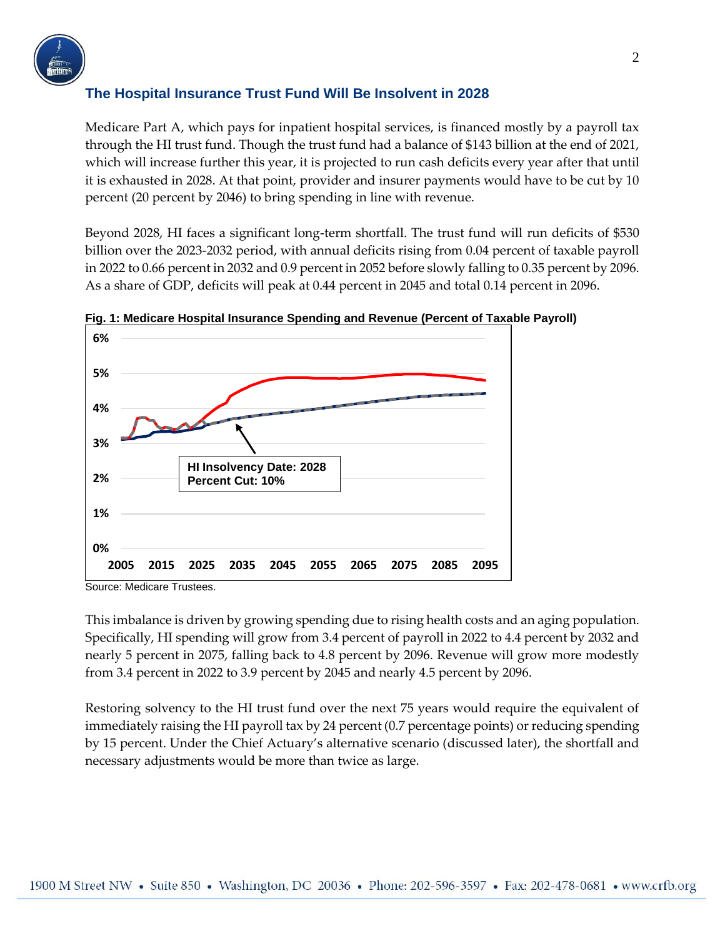

#### **The Hospital Insurance Trust Fund Will Be Insolvent in 2028**

Medicare Part A, which pays for inpatient hospital services, is financed mostly by a payroll tax through the HI trust fund. Though the trust fund had a balance of \$143 billion at the end of 2021, which will increase further this year, it is projected to run cash deficits every year after that until it is exhausted in 2028. At that point, provider and insurer payments would have to be cut by 10 percent (20 percent by 2046) to bring spending in line with revenue.

Beyond 2028, HI faces a significant long-term shortfall. The trust fund will run deficits of \$530 billion over the 2023-2032 period, with annual deficits rising from 0.04 percent of taxable payroll in 2022 to 0.66 percent in 2032 and 0.9 percent in 2052 before slowly falling to 0.35 percent by 2096. As a share of GDP, deficits will peak at 0.44 percent in 2045 and total 0.14 percent in 2096.



**Fig. 1: Medicare Hospital Insurance Spending and Revenue (Percent of Taxable Payroll)**

Source: Medicare Trustees.

This imbalance is driven by growing spending due to rising health costs and an aging population. Specifically, HI spending will grow from 3.4 percent of payroll in 2022 to 4.4 percent by 2032 and nearly 5 percent in 2075, falling back to 4.8 percent by 2096. Revenue will grow more modestly from 3.4 percent in 2022 to 3.9 percent by 2045 and nearly 4.5 percent by 2096.

Restoring solvency to the HI trust fund over the next 75 years would require the equivalent of immediately raising the HI payroll tax by 24 percent (0.7 percentage points) or reducing spending by 15 percent. Under the Chief Actuary's alternative scenario (discussed later), the shortfall and necessary adjustments would be more than twice as large.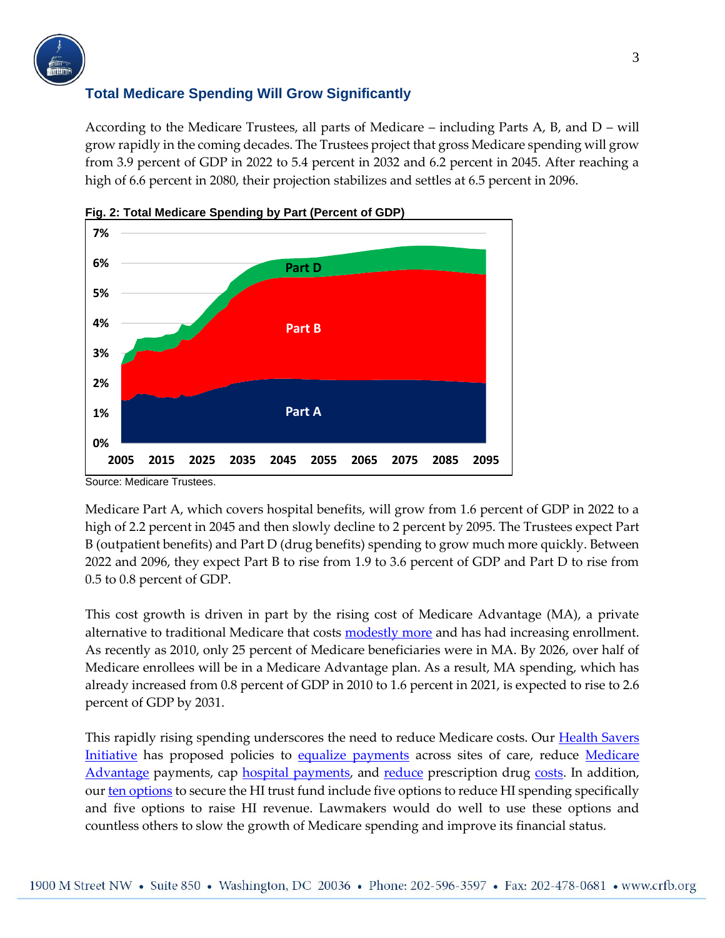

### **Total Medicare Spending Will Grow Significantly**

According to the Medicare Trustees, all parts of Medicare – including Parts A, B, and D – will grow rapidly in the coming decades. The Trustees project that gross Medicare spending will grow from 3.9 percent of GDP in 2022 to 5.4 percent in 2032 and 6.2 percent in 2045. After reaching a high of 6.6 percent in 2080, their projection stabilizes and settles at 6.5 percent in 2096.





Medicare Part A, which covers hospital benefits, will grow from 1.6 percent of GDP in 2022 to a high of 2.2 percent in 2045 and then slowly decline to 2 percent by 2095. The Trustees expect Part B (outpatient benefits) and Part D (drug benefits) spending to grow much more quickly. Between 2022 and 2096, they expect Part B to rise from 1.9 to 3.6 percent of GDP and Part D to rise from 0.5 to 0.8 percent of GDP.

This cost growth is driven in part by the rising cost of Medicare Advantage (MA), a private alternative to traditional Medicare that costs [modestly more](https://www.crfb.org/papers/reducing-medicare-advantage-overpayments) and has had increasing enrollment. As recently as 2010, only 25 percent of Medicare beneficiaries were in MA. By 2026, over half of Medicare enrollees will be in a Medicare Advantage plan. As a result, MA spending, which has already increased from 0.8 percent of GDP in 2010 to 1.6 percent in 2021, is expected to rise to 2.6 percent of GDP by 2031.

This rapidly rising spending underscores the need to reduce Medicare costs. Our [Health Savers](https://www.crfb.org/project/health-savers-initiative)  [Initiative](https://www.crfb.org/project/health-savers-initiative) has proposed policies to [equalize payments](https://www.crfb.org/papers/equalizing-medicare-payments-regardless-site-care) across sites of care, reduce Medicare [Advantage](https://www.crfb.org/papers/reducing-medicare-advantage-overpayments) payments, cap [hospital payments,](https://www.crfb.org/papers/capping-hospital-prices) and [reduce](https://www.crfb.org/papers/injecting-price-competition-medicare-part-b-drugs) prescription drug [costs.](https://www.crfb.org/papers/limiting-evergreening-name-brand-prescription-drugs) In addition, ou[r ten options](https://www.crfb.org/blogs/ten-options-secure-medicare-trust-fund) to secure the HI trust fund include five options to reduce HI spending specifically and five options to raise HI revenue. Lawmakers would do well to use these options and countless others to slow the growth of Medicare spending and improve its financial status.

Source: Medicare Trustees.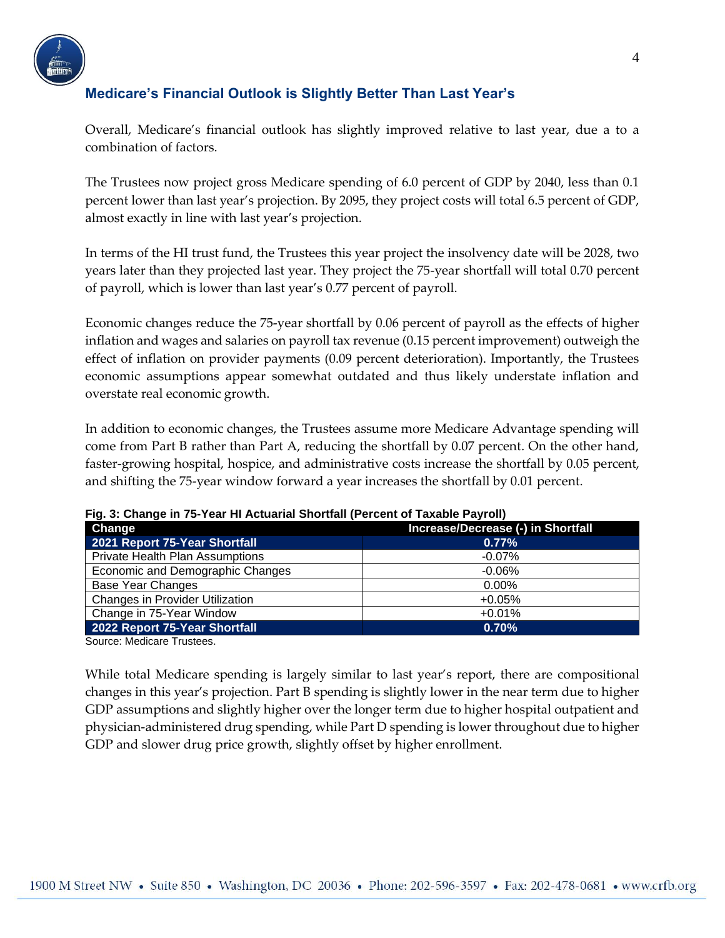

### **Medicare's Financial Outlook is Slightly Better Than Last Year's**

Overall, Medicare's financial outlook has slightly improved relative to last year, due a to a combination of factors.

The Trustees now project gross Medicare spending of 6.0 percent of GDP by 2040, less than 0.1 percent lower than last year's projection. By 2095, they project costs will total 6.5 percent of GDP, almost exactly in line with last year's projection.

In terms of the HI trust fund, the Trustees this year project the insolvency date will be 2028, two years later than they projected last year. They project the 75-year shortfall will total 0.70 percent of payroll, which is lower than last year's 0.77 percent of payroll.

Economic changes reduce the 75-year shortfall by 0.06 percent of payroll as the effects of higher inflation and wages and salaries on payroll tax revenue (0.15 percent improvement) outweigh the effect of inflation on provider payments (0.09 percent deterioration). Importantly, the Trustees economic assumptions appear somewhat outdated and thus likely understate inflation and overstate real economic growth.

In addition to economic changes, the Trustees assume more Medicare Advantage spending will come from Part B rather than Part A, reducing the shortfall by 0.07 percent. On the other hand, faster-growing hospital, hospice, and administrative costs increase the shortfall by 0.05 percent, and shifting the 75-year window forward a year increases the shortfall by 0.01 percent.

| i iyi v. Onango in 19-10ar ni Autuanai Onontian (i Uruunt or Taxabiu Fayron) |                                    |
|------------------------------------------------------------------------------|------------------------------------|
| Change                                                                       | Increase/Decrease (-) in Shortfall |
| 2021 Report 75-Year Shortfall                                                | 0.77%                              |
| <b>Private Health Plan Assumptions</b>                                       | $-0.07\%$                          |
| Economic and Demographic Changes                                             | $-0.06%$                           |
| <b>Base Year Changes</b>                                                     | $0.00\%$                           |
| <b>Changes in Provider Utilization</b>                                       | $+0.05%$                           |
| Change in 75-Year Window                                                     | $+0.01%$                           |
| 2022 Report 75-Year Shortfall                                                | 0.70%                              |

**Fig. 3: Change in 75-Year HI Actuarial Shortfall (Percent of Taxable Payroll)**

Source: Medicare Trustees.

While total Medicare spending is largely similar to last year's report, there are compositional changes in this year's projection. Part B spending is slightly lower in the near term due to higher GDP assumptions and slightly higher over the longer term due to higher hospital outpatient and physician-administered drug spending, while Part D spending is lower throughout due to higher GDP and slower drug price growth, slightly offset by higher enrollment.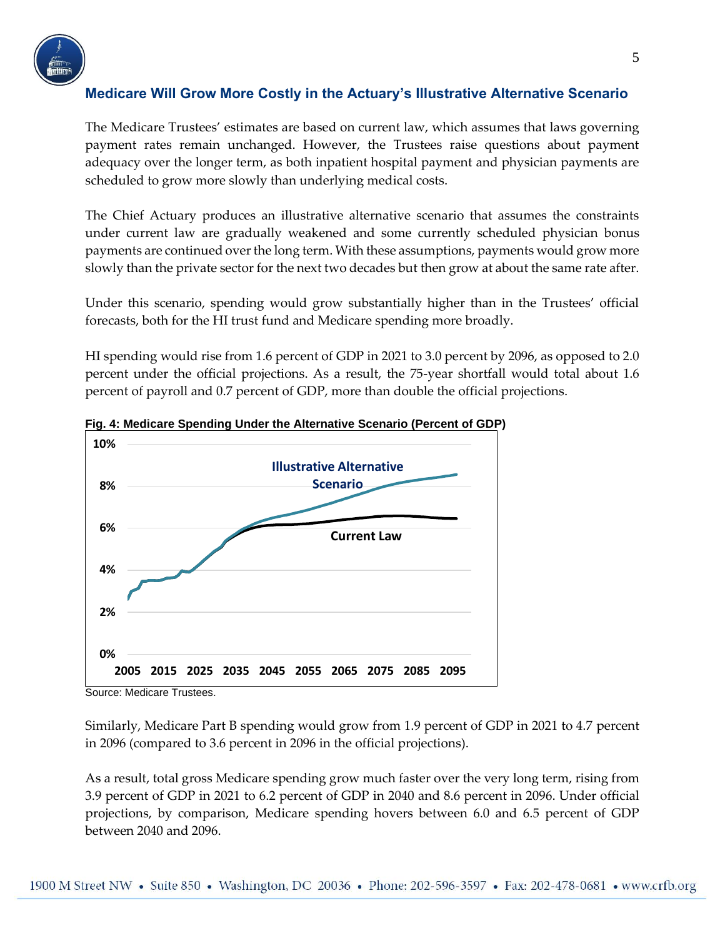

### **Medicare Will Grow More Costly in the Actuary's Illustrative Alternative Scenario**

The Medicare Trustees' estimates are based on current law, which assumes that laws governing payment rates remain unchanged. However, the Trustees raise questions about payment adequacy over the longer term, as both inpatient hospital payment and physician payments are scheduled to grow more slowly than underlying medical costs.

The Chief Actuary produces an illustrative alternative scenario that assumes the constraints under current law are gradually weakened and some currently scheduled physician bonus payments are continued over the long term. With these assumptions, payments would grow more slowly than the private sector for the next two decades but then grow at about the same rate after.

Under this scenario, spending would grow substantially higher than in the Trustees' official forecasts, both for the HI trust fund and Medicare spending more broadly.

HI spending would rise from 1.6 percent of GDP in 2021 to 3.0 percent by 2096, as opposed to 2.0 percent under the official projections. As a result, the 75-year shortfall would total about 1.6 percent of payroll and 0.7 percent of GDP, more than double the official projections.



**Fig. 4: Medicare Spending Under the Alternative Scenario (Percent of GDP)**

Similarly, Medicare Part B spending would grow from 1.9 percent of GDP in 2021 to 4.7 percent in 2096 (compared to 3.6 percent in 2096 in the official projections).

As a result, total gross Medicare spending grow much faster over the very long term, rising from 3.9 percent of GDP in 2021 to 6.2 percent of GDP in 2040 and 8.6 percent in 2096. Under official projections, by comparison, Medicare spending hovers between 6.0 and 6.5 percent of GDP between 2040 and 2096.